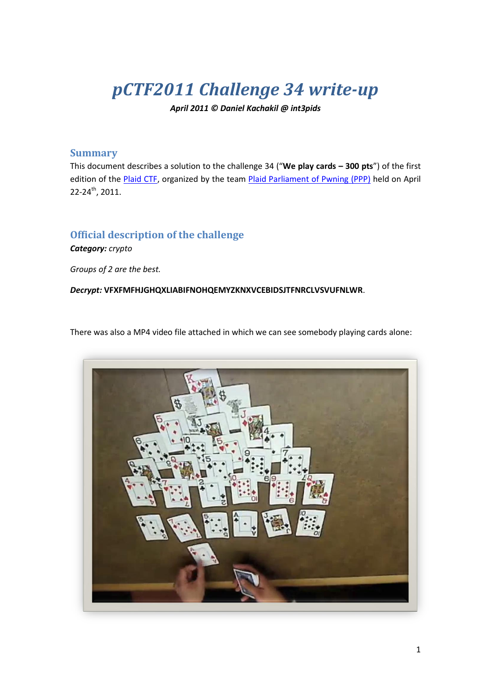# *pCTF2011 Challenge 34 write-up*

*April 2011 © Daniel Kachakil @ int3pids*

### **Summary**

This document describes a solution to the challenge 34 ("**We play cards – 300 pts**") of the first edition of the [Plaid CTF,](http://www.plaidctf.com/) organized by the team [Plaid Parliament of Pwning](http://ppp.cylab.cmu.edu/) (PPP) held on April 22-24<sup>th</sup>, 2011.

## **Official description of the challenge**

*Category: crypto*

*Groups of 2 are the best.*

*Decrypt:* **VFXFMFHJGHQXLIABIFNOHQEMYZKNXVCEBIDSJTFNRCLVSVUFNLWR**.

There was also a MP4 video file attached in which we can see somebody playing cards alone:

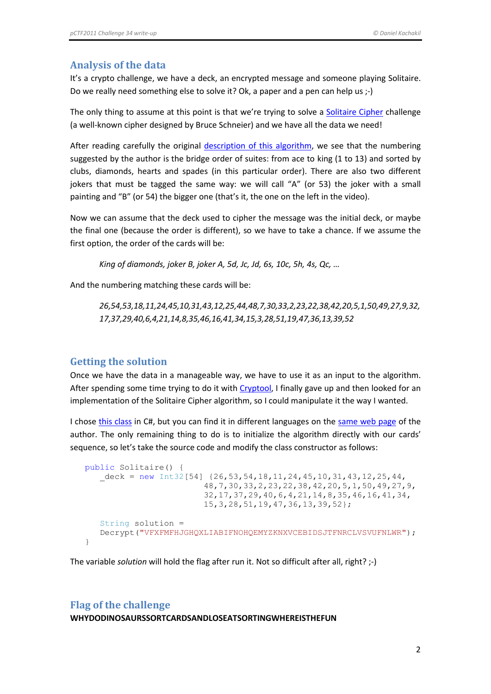### **Analysis of the data**

It's a crypto challenge, we have a deck, an encrypted message and someone playing Solitaire. Do we really need something else to solve it? Ok, a paper and a pen can help us ;-)

The only thing to assume at this point is that we're trying to solve a [Solitaire Cipher](http://en.wikipedia.org/wiki/Solitaire_%28cipher%29) challenge (a well-known cipher designed by Bruce Schneier) and we have all the data we need!

After reading carefully the original [description of this](http://www.schneier.com/solitaire.html) algorithm, we see that the numbering suggested by the author is the bridge order of suites: from ace to king (1 to 13) and sorted by clubs, diamonds, hearts and spades (in this particular order). There are also two different jokers that must be tagged the same way: we will call "A" (or 53) the joker with a small painting and "B" (or 54) the bigger one (that's it, the one on the left in the video).

Now we can assume that the deck used to cipher the message was the initial deck, or maybe the final one (because the order is different), so we have to take a chance. If we assume the first option, the order of the cards will be:

*King of diamonds, joker B, joker A, 5d, Jc, Jd, 6s, 10c, 5h, 4s, Qc, …*

And the numbering matching these cards will be:

*26,54,53,18,11,24,45,10,31,43,12,25,44,48,7,30,33,2,23,22,38,42,20,5,1,50,49,27,9,32, 17,37,29,40,6,4,21,14,8,35,46,16,41,34,15,3,28,51,19,47,36,13,39,52*

#### **Getting the solution**

Once we have the data in a manageable way, we have to use it as an input to the algorithm. After spending some time trying to do it wit[h Cryptool,](http://www.cryptool.org/) I finally gave up and then looked for an implementation of the Solitaire Cipher algorithm, so I could manipulate it the way I wanted.

I chose this [class](http://www.erobillard.com/Content/solitaire/classSolitaire.zip) in C#, but you can find it in different languages on the [same web](http://www.schneier.com/solitaire.html) page of the author. The only remaining thing to do is to initialize the algorithm directly with our cards' sequence, so let's take the source code and modify the class constructor as follows:

```
 public Solitaire() {
  \text{deck} = \text{new Int32}[54] \{26, 53, 54, 18, 11, 24, 45, 10, 31, 43, 12, 25, 44, 48,7,30,33,2,23,22,38,42,20,5,1,50,49,27,9,
                           32,17,37,29,40,6,4,21,14,8,35,46,16,41,34,
                           15,3,28,51,19,47,36,13,39,52};
   String solution =
   Decrypt("VFXFMFHJGHQXLIABIFNOHQEMYZKNXVCEBIDSJTFNRCLVSVUFNLWR");
}
```
The variable *solution* will hold the flag after run it. Not so difficult after all, right? ;-)

### **Flag of the challenge**

**WHYDODINOSAURSSORTCARDSANDLOSEATSORTINGWHEREISTHEFUN**